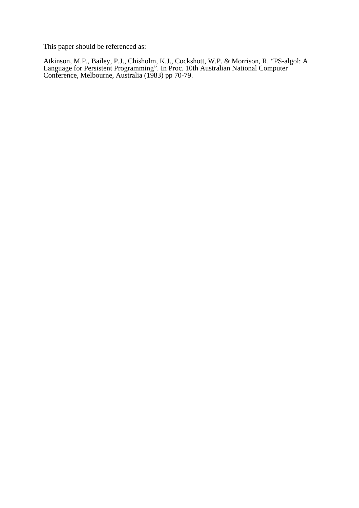This paper should be referenced as:

Atkinson, M.P., Bailey, P.J., Chisholm, K.J., Cockshott, W.P. & Morrison, R. "PS-algol: A Language for Persistent Programming". In Proc. 10th Australian National Computer Conference, Melbourne, Australia (1983) pp 70-79.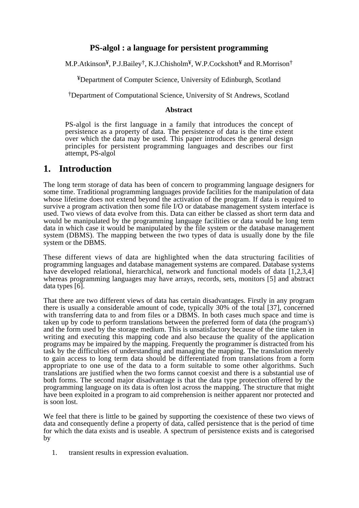### **PS-algol : a language for persistent programming**

M.P.Atkinson¥, P.J.Bailey†, K.J.Chisholm¥, W.P.Cockshott¥ and R.Morrison†

¥Department of Computer Science, University of Edinburgh, Scotland

†Department of Computational Science, University of St Andrews, Scotland

### **Abstract**

PS-algol is the first language in a family that introduces the concept of persistence as a property of data. The persistence of data is the time extent over which the data may be used. This paper introduces the general design principles for persistent programming languages and describes our first attempt, PS-algol

## **1. Introduction**

The long term storage of data has been of concern to programming language designers for some time. Traditional programming languages provide facilities for the manipulation of data whose lifetime does not extend beyond the activation of the program. If data is required to survive a program activation then some file I/O or database management system interface is used. Two views of data evolve from this. Data can either be classed as short term data and would be manipulated by the programming language facilities or data would be long term data in which case it would be manipulated by the file system or the database management system (DBMS). The mapping between the two types of data is usually done by the file system or the DBMS.

These different views of data are highlighted when the data structuring facilities of programming languages and database management systems are compared. Database systems have developed relational, hierarchical, network and functional models of data [1,2,3,4] whereas programming languages may have arrays, records, sets, monitors [5] and abstract data types [6].

That there are two different views of data has certain disadvantages. Firstly in any program there is usually a considerable amount of code, typically 30% of the total [37], concerned with transferring data to and from files or a DBMS. In both cases much space and time is taken up by code to perform translations between the preferred form of data (the program's) and the form used by the storage medium. This is unsatisfactory because of the time taken in writing and executing this mapping code and also because the quality of the application programs may be impaired by the mapping. Frequently the programmer is distracted from his task by the difficulties of understanding and managing the mapping. The translation merely to gain access to long term data should be differentiated from translations from a form appropriate to one use of the data to a form suitable to some other algorithms. Such translations are justified when the two forms cannot coexist and there is a substantial use of both forms. The second major disadvantage is that the data type protection offered by the programming language on its data is often lost across the mapping. The structure that might have been exploited in a program to aid comprehension is neither apparent nor protected and is soon lost.

We feel that there is little to be gained by supporting the coexistence of these two views of data and consequently define a property of data, called persistence that is the period of time for which the data exists and is useable. A spectrum of persistence exists and is categorised by

1. transient results in expression evaluation.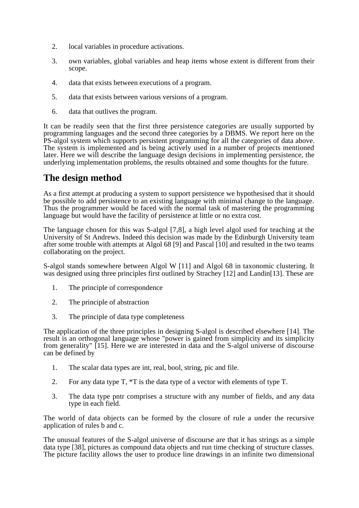- 2. local variables in procedure activations.
- 3. own variables, global variables and heap items whose extent is different from their scope.
- 4. data that exists between executions of a program.
- 5. data that exists between various versions of a program.
- 6. data that outlives the program.

It can be readily seen that the first three persistence categories are usually supported by programming languages and the second three categories by a DBMS. We report here on the PS-algol system which supports persistent programming for all the categories of data above. The system is implemented and is being actively used in a number of projects mentioned later. Here we will describe the language design decisions in implementing persistence, the underlying implementation problems, the results obtained and some thoughts for the future.

## **The design method**

As a first attempt at producing a system to support persistence we hypothesised that it should be possible to add persistence to an existing language with minimal change to the language. Thus the programmer would be faced with the normal task of mastering the programming language but would have the facility of persistence at little or no extra cost.

The language chosen for this was S-algol [7,8], a high level algol used for teaching at the University of St Andrews. Indeed this decision was made by the Edinburgh University team after some trouble with attempts at Algol 68 [9] and Pascal [10] and resulted in the two teams collaborating on the project.

S-algol stands somewhere between Algol W [11] and Algol 68 in taxonomic clustering. It was designed using three principles first outlined by Strachey [12] and Landin[13]. These are

- 1. The principle of correspondence
- 2. The principle of abstraction
- 3. The principle of data type completeness

The application of the three principles in designing S-algol is described elsewhere [14]. The result is an orthogonal language whose "power is gained from simplicity and its simplicity from generality" [15]. Here we are interested in data and the S-algol universe of discourse can be defined by

- 1. The scalar data types are int, real, bool, string, pic and file.
- 2. For any data type T, \*T is the data type of a vector with elements of type T.
- 3. The data type pntr comprises a structure with any number of fields, and any data type in each field.

The world of data objects can be formed by the closure of rule a under the recursive application of rules b and c.

The unusual features of the S-algol universe of discourse are that it has strings as a simple data type [38], pictures as compound data objects and run time checking of structure classes. The picture facility allows the user to produce line drawings in an infinite two dimensional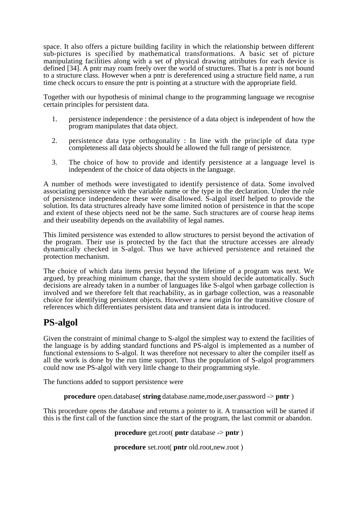space. It also offers a picture building facility in which the relationship between different sub-pictures is specified by mathematical transformations. A basic set of picture manipulating facilities along with a set of physical drawing attributes for each device is defined [34]. A pntr may roam freely over the world of structures. That is a pntr is not bound to a structure class. However when a pntr is dereferenced using a structure field name, a run time check occurs to ensure the pntr is pointing at a structure with the appropriate field.

Together with our hypothesis of minimal change to the programming language we recognise certain principles for persistent data.

- 1. persistence independence : the persistence of a data object is independent of how the program manipulates that data object.
- 2. persistence data type orthogonality : In line with the principle of data type completeness all data objects should be allowed the full range of persistence.
- 3. The choice of how to provide and identify persistence at a language level is independent of the choice of data objects in the language.

A number of methods were investigated to identify persistence of data. Some involved associating persistence with the variable name or the type in the declaration. Under the rule of persistence independence these were disallowed. S-algol itself helped to provide the solution. Its data structures already have some limited notion of persistence in that the scope and extent of these objects need not be the same. Such structures are of course heap items and their useability depends on the availability of legal names.

This limited persistence was extended to allow structures to persist beyond the activation of the program. Their use is protected by the fact that the structure accesses are already dynamically checked in S-algol. Thus we have achieved persistence and retained the protection mechanism.

The choice of which data items persist beyond the lifetime of a program was next. We argued, by preaching minimum change, that the system should decide automatically. Such decisions are already taken in a number of languages like S-algol when garbage collection is involved and we therefore felt that reachability, as in garbage collection, was a reasonable choice for identifying persistent objects. However a new origin for the transitive closure of references which differentiates persistent data and transient data is introduced.

## **PS-algol**

Given the constraint of minimal change to S-algol the simplest way to extend the facilities of the language is by adding standard functions and PS-algol is implemented as a number of functional extensions to S-algol. It was therefore not necessary to alter the compiler itself as all the work is done by the run time support. Thus the population of S-algol programmers could now use PS-algol with very little change to their programming style.

The functions added to support persistence were

**procedure** open.database( **string** database.name,mode,user,password -> **pntr** )

This procedure opens the database and returns a pointer to it. A transaction will be started if this is the first call of the function since the start of the program, the last commit or abandon.

**procedure** get.root( **pntr** database -> **pntr** )

**procedure** set.root( **pntr** old.root,new.root )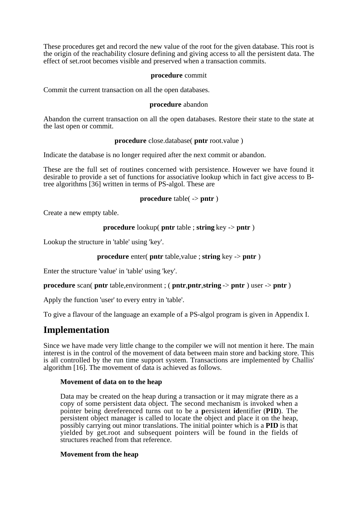These procedures get and record the new value of the root for the given database. This root is the origin of the reachability closure defining and giving access to all the persistent data. The effect of set.root becomes visible and preserved when a transaction commits.

### **procedure** commit

Commit the current transaction on all the open databases.

### **procedure** abandon

Abandon the current transaction on all the open databases. Restore their state to the state at the last open or commit.

### **procedure** close.database( **pntr** root.value )

Indicate the database is no longer required after the next commit or abandon.

These are the full set of routines concerned with persistence. However we have found it desirable to provide a set of functions for associative lookup which in fact give access to Btree algorithms [36] written in terms of PS-algol. These are

### **procedure** table( -> **pntr** )

Create a new empty table.

```
procedure lookup( pntr table ; string key -> pntr )
```
Lookup the structure in 'table' using 'key'.

### **procedure** enter( **pntr** table,value ; **string** key -> **pntr** )

Enter the structure 'value' in 'table' using 'key'.

**procedure** scan( **pntr** table,environment ; ( **pntr**,**pntr**,**string** -> **pntr** ) user -> **pntr** )

Apply the function 'user' to every entry in 'table'.

To give a flavour of the language an example of a PS-algol program is given in Appendix I.

### **Implementation**

Since we have made very little change to the compiler we will not mention it here. The main interest is in the control of the movement of data between main store and backing store. This is all controlled by the run time support system. Transactions are implemented by Challis' algorithm [16]. The movement of data is achieved as follows.

### **Movement of data on to the heap**

Data may be created on the heap during a transaction or it may migrate there as a copy of some persistent data object. The second mechanism is invoked when a pointer being dereferenced turns out to be a **p**ersistent **id**entifier (**PID**). The persistent object manager is called to locate the object and place it on the heap, possibly carrying out minor translations. The initial pointer which is a **PID** is that yielded by get.root and subsequent pointers will be found in the fields of structures reached from that reference.

### **Movement from the heap**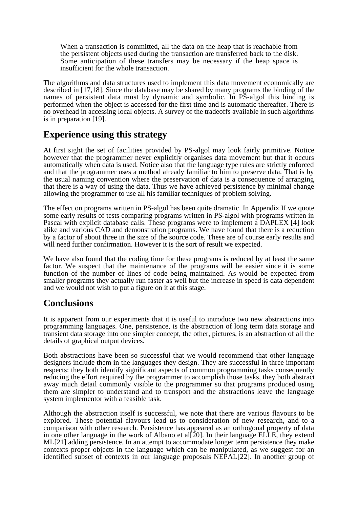When a transaction is committed, all the data on the heap that is reachable from the persistent objects used during the transaction are transferred back to the disk. Some anticipation of these transfers may be necessary if the heap space is insufficient for the whole transaction.

The algorithms and data structures used to implement this data movement economically are described in [17,18]. Since the database may be shared by many programs the binding of the names of persistent data must by dynamic and symbolic. In PS-algol this binding is performed when the object is accessed for the first time and is automatic thereafter. There is no overhead in accessing local objects. A survey of the tradeoffs available in such algorithms is in preparation [19].

# **Experience using this strategy**

At first sight the set of facilities provided by PS-algol may look fairly primitive. Notice however that the programmer never explicitly organises data movement but that it occurs automatically when data is used. Notice also that the language type rules are strictly enforced and that the programmer uses a method already familiar to him to preserve data. That is by the usual naming convention where the preservation of data is a consequence of arranging that there is a way of using the data. Thus we have achieved persistence by minimal change allowing the programmer to use all his familiar techniques of problem solving.

The effect on programs written in PS-algol has been quite dramatic. In Appendix II we quote some early results of tests comparing programs written in PS-algol with programs written in Pascal with explicit database calls. These programs were to implement a DAPLEX [4] look alike and various CAD and demonstration programs. We have found that there is a reduction by a factor of about three in the size of the source code. These are of course early results and will need further confirmation. However it is the sort of result we expected.

We have also found that the coding time for these programs is reduced by at least the same factor. We suspect that the maintenance of the programs will be easier since it is some function of the number of lines of code being maintained. As would be expected from smaller programs they actually run faster as well but the increase in speed is data dependent and we would not wish to put a figure on it at this stage.

## **Conclusions**

It is apparent from our experiments that it is useful to introduce two new abstractions into programming languages. One, persistence, is the abstraction of long term data storage and transient data storage into one simpler concept, the other, pictures, is an abstraction of all the details of graphical output devices.

Both abstractions have been so successful that we would recommend that other language designers include them in the languages they design. They are successful in three important respects: they both identify significant aspects of common programming tasks consequently reducing the effort required by the programmer to accomplish those tasks, they both abstract away much detail commonly visible to the programmer so that programs produced using them are simpler to understand and to transport and the abstractions leave the language system implementor with a feasible task.

Although the abstraction itself is successful, we note that there are various flavours to be explored. These potential flavours lead us to consideration of new research, and to a comparison with other research. Persistence has appeared as an orthogonal property of data in one other language in the work of Albano et al[20]. In their language ELLE, they extend ML[21] adding persistence. In an attempt to accommodate longer term persistence they make contexts proper objects in the language which can be manipulated, as we suggest for an identified subset of contexts in our language proposals NEPAL[22]. In another group of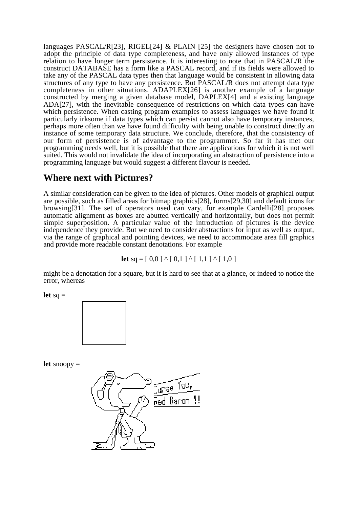languages PASCAL/R[23], RIGEL[24] & PLAIN [25] the designers have chosen not to adopt the principle of data type completeness, and have only allowed instances of type relation to have longer term persistence. It is interesting to note that in PASCAL/R the construct DATABASE has a form like a PASCAL record, and if its fields were allowed to take any of the PASCAL data types then that language would be consistent in allowing data structures of any type to have any persistence. But PASCAL/R does not attempt data type completeness in other situations. ADAPLEX[26] is another example of a language constructed by merging a given database model, DAPLEX[4] and a existing language ADA[27], with the inevitable consequence of restrictions on which data types can have which persistence. When casting program examples to assess languages we have found it particularly irksome if data types which can persist cannot also have temporary instances, perhaps more often than we have found difficulty with being unable to construct directly an instance of some temporary data structure. We conclude, therefore, that the consistency of our form of persistence is of advantage to the programmer. So far it has met our programming needs well, but it is possible that there are applications for which it is not well suited. This would not invalidate the idea of incorporating an abstraction of persistence into a programming language but would suggest a different flavour is needed.

## **Where next with Pictures?**

A similar consideration can be given to the idea of pictures. Other models of graphical output are possible, such as filled areas for bitmap graphics[28], forms[29,30] and default icons for browsing[31]. The set of operators used can vary, for example Cardelli[28] proposes automatic alignment as boxes are abutted vertically and horizontally, but does not permit simple superposition. A particular value of the introduction of pictures is the device independence they provide. But we need to consider abstractions for input as well as output, via the range of graphical and pointing devices, we need to accommodate area fill graphics and provide more readable constant denotations. For example

let sq = 
$$
[0,0] \wedge [0,1] \wedge [1,1] \wedge [1,0]
$$

might be a denotation for a square, but it is hard to see that at a glance, or indeed to notice the error, whereas

**let** sq  $=$ 



**let** snoopy =

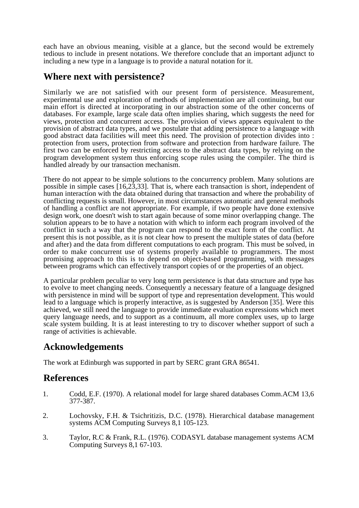each have an obvious meaning, visible at a glance, but the second would be extremely tedious to include in present notations. We therefore conclude that an important adjunct to including a new type in a language is to provide a natural notation for it.

## **Where next with persistence?**

Similarly we are not satisfied with our present form of persistence. Measurement, experimental use and exploration of methods of implementation are all continuing, but our main effort is directed at incorporating in our abstraction some of the other concerns of databases. For example, large scale data often implies sharing, which suggests the need for views, protection and concurrent access. The provision of views appears equivalent to the provision of abstract data types, and we postulate that adding persistence to a language with good abstract data facilities will meet this need. The provision of protection divides into : protection from users, protection from software and protection from hardware failure. The first two can be enforced by restricting access to the abstract data types, by relying on the program development system thus enforcing scope rules using the compiler. The third is handled already by our transaction mechanism.

There do not appear to be simple solutions to the concurrency problem. Many solutions are possible in simple cases [16,23,33]. That is, where each transaction is short, independent of human interaction with the data obtained during that transaction and where the probability of conflicting requests is small. However, in most circumstances automatic and general methods of handling a conflict are not appropriate. For example, if two people have done extensive design work, one doesn't wish to start again because of some minor overlapping change. The solution appears to be to have a notation with which to inform each program involved of the conflict in such a way that the program can respond to the exact form of the conflict. At present this is not possible, as it is not clear how to present the multiple states of data (before and after) and the data from different computations to each program. This must be solved, in order to make concurrent use of systems properly available to programmers. The most promising approach to this is to depend on object-based programming, with messages between programs which can effectively transport copies of or the properties of an object.

A particular problem peculiar to very long term persistence is that data structure and type has to evolve to meet changing needs. Consequently a necessary feature of a language designed with persistence in mind will be support of type and representation development. This would lead to a language which is properly interactive, as is suggested by Anderson [35]. Were this achieved, we still need the language to provide immediate evaluation expressions which meet query language needs, and to support as a continuum, all more complex uses, up to large scale system building. It is at least interesting to try to discover whether support of such a range of activities is achievable.

## **Acknowledgements**

The work at Edinburgh was supported in part by SERC grant GRA 86541.

# **References**

- 1. Codd, E.F. (1970). A relational model for large shared databases Comm.ACM 13,6 377-387.
- 2. Lochovsky, F.H. & Tsichritizis, D.C. (1978). Hierarchical database management systems ACM Computing Surveys 8,1 105-123.
- 3. Taylor, R.C & Frank, R.L. (1976). CODASYL database management systems ACM Computing Surveys 8,1 67-103.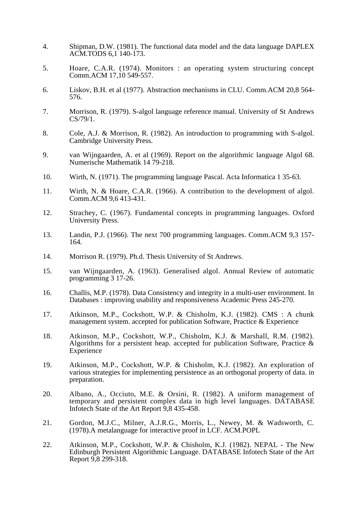- 4. Shipman, D.W. (1981). The functional data model and the data language DAPLEX ACM.TODS 6,1 140-173.
- 5. Hoare, C.A.R. (1974). Monitors : an operating system structuring concept Comm.ACM 17,10 549-557.
- 6. Liskov, B.H. et al (1977). Abstraction mechanisms in CLU. Comm.ACM 20,8 564- 576.
- 7. Morrison, R. (1979). S-algol language reference manual. University of St Andrews CS/79/1.
- 8. Cole, A.J. & Morrison, R. (1982). An introduction to programming with S-algol. Cambridge University Press.
- 9. van Wijngaarden, A. et al (1969). Report on the algorithmic language Algol 68. Numerische Mathematik 14 79-218.
- 10. Wirth, N. (1971). The programming language Pascal. Acta Informatica 1 35-63.
- 11. Wirth, N. & Hoare, C.A.R. (1966). A contribution to the development of algol. Comm.ACM 9,6 413-431.
- 12. Strachey, C. (1967). Fundamental concepts in programming languages. Oxford University Press.
- 13. Landin, P.J. (1966). The next 700 programming languages. Comm.ACM 9,3 157- 164.
- 14. Morrison R. (1979). Ph.d. Thesis University of St Andrews.
- 15. van Wijngaarden, A. (1963). Generalised algol. Annual Review of automatic programming 3 17-26.
- 16. Challis, M.P. (1978). Data Consistency and integrity in a multi-user environment. In Databases : improving usability and responsiveness Academic Press 245-270.
- 17. Atkinson, M.P., Cockshott, W.P. & Chisholm, K.J. (1982). CMS : A chunk management system. accepted for publication Software, Practice & Experience
- 18. Atkinson, M.P., Cockshott, W.P., Chisholm, K.J. & Marshall, R.M. (1982). Algorithms for a persistent heap. accepted for publication Software, Practice & Experience
- 19. Atkinson, M.P., Cockshott, W.P. & Chisholm, K.J. (1982). An exploration of various strategies for implementing persistence as an orthogonal property of data. in preparation.
- 20. Albano, A., Occiuto, M.E. & Orsini, R. (1982). A uniform management of temporary and persistent complex data in high level languages. DATABASE Infotech State of the Art Report 9,8 435-458.
- 21. Gordon, M.J.C., Milner, A.J.R.G., Morris, L., Newey, M. & Wadsworth, C. (1978).A metalanguage for interactive proof in LCF. ACM.POPL
- 22. Atkinson, M.P., Cockshott, W.P. & Chisholm, K.J. (1982). NEPAL The New Edinburgh Persistent Algorithmic Language. DATABASE Infotech State of the Art Report 9,8 299-318.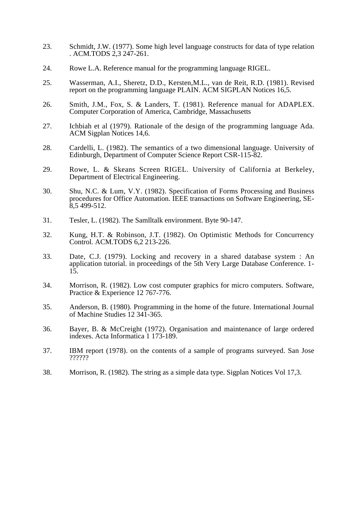- 23. Schmidt, J.W. (1977). Some high level language constructs for data of type relation . ACM.TODS 2,3 247-261.
- 24. Rowe L.A. Reference manual for the programming language RIGEL.
- 25. Wasserman, A.I., Sheretz, D.D., Kersten,M.L., van de Reit, R.D. (1981). Revised report on the programming language PLAIN. ACM SIGPLAN Notices 16,5.
- 26. Smith, J.M., Fox, S. & Landers, T. (1981). Reference manual for ADAPLEX. Computer Corporation of America, Cambridge, Massachusetts
- 27. Ichbiah et al (1979). Rationale of the design of the programming language Ada. ACM Sigplan Notices 14,6.
- 28. Cardelli, L. (1982). The semantics of a two dimensional language. University of Edinburgh, Department of Computer Science Report CSR-115-82.
- 29. Rowe, L. & Skeans Screen RIGEL. University of California at Berkeley, Department of Electrical Engineering.
- 30. Shu, N.C. & Lum, V.Y. (1982). Specification of Forms Processing and Business procedures for Office Automation. IEEE transactions on Software Engineering, SE-8,5 499-512.
- 31. Tesler, L. (1982). The Samlltalk environment. Byte 90-147.
- 32. Kung, H.T. & Robinson, J.T. (1982). On Optimistic Methods for Concurrency Control. ACM.TODS 6,2 213-226.
- 33. Date, C.J. (1979). Locking and recovery in a shared database system : An application tutorial. in proceedings of the 5th Very Large Database Conference. 1- 15.
- 34. Morrison, R. (1982). Low cost computer graphics for micro computers. Software, Practice & Experience 12 767-776.
- 35. Anderson, B. (1980). Programming in the home of the future. International Journal of Machine Studies 12 341-365.
- 36. Bayer, B. & McCreight (1972). Organisation and maintenance of large ordered indexes. Acta Informatica 1 173-189.
- 37. IBM report (1978). on the contents of a sample of programs surveyed. San Jose ??????
- 38. Morrison, R. (1982). The string as a simple data type. Sigplan Notices Vol 17,3.